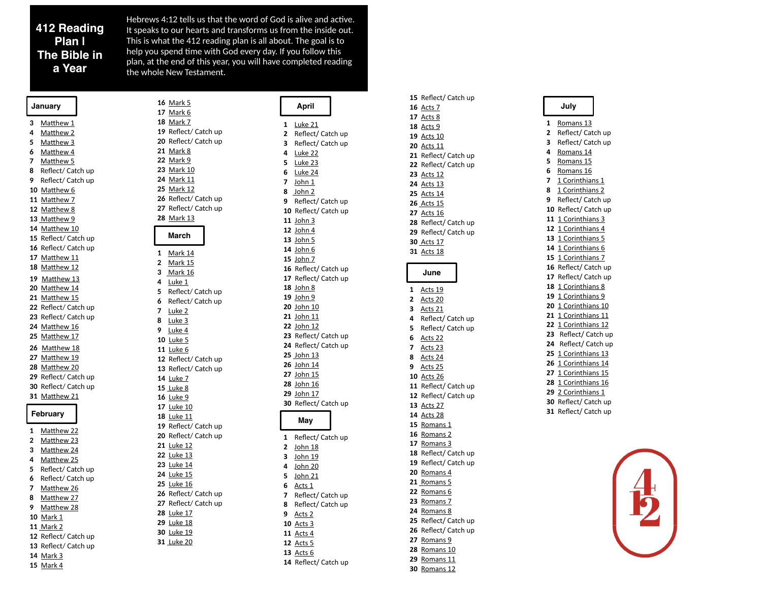### **412 Reading Plan | The Bible in a Year**

Hebrews 4:12 tells us that the word of God is alive and ac tive. It speaks to our hearts and transforms us from the inside out. This is what the 412 reading plan is all about. The goal is to help you spend time with God every day. If you follow this plan, at the end of this year, you will have completed reading the whole New Testament.

| January      |                      |
|--------------|----------------------|
| 3            | Matthew 1            |
| 4            | Matthew 2            |
| 5            | Matthew 3            |
| 6            | Matthew 4            |
| 7            | Matthew 5            |
| 8            | Reflect/ Catch up    |
| 9            | Reflect/ Catch up    |
|              | 10 Matthew 6         |
|              | 11 Matthew 7         |
|              | 12 Matthew 8         |
|              | 13 Matthew 9         |
|              | 14 Matthew 10        |
|              | 15 Reflect/ Catch up |
|              | 16 Reflect/ Catch up |
|              | 17 Matthew 11        |
|              | 18 Matthew 12        |
|              | 19 Matthew 13        |
|              | 20 Matthew 14        |
|              | 21 Matthew 15        |
|              | 22 Reflect/ Catch up |
|              | 23 Reflect/ Catch up |
|              | 24 Matthew 16        |
|              | 25 Matthew 17        |
|              | 26 Matthew 18        |
|              | 27 Matthew 19        |
|              | 28 Matthew 20        |
|              | 29 Reflect/ Catch up |
| 31           | 30 Reflect/ Catch up |
|              | Matthew 21           |
| February     |                      |
| $\mathbf{1}$ | Matthew 22           |
| 2            | Matthew 23           |
| 3            | Matthew 24           |
| 4            | Matthew 25           |
| 5            | Reflect/ Catch up    |
| 6            | Reflect/ Catch up    |
| 7            | Matthew 26           |
| 8            | Matthew 27           |
| 9            | Matthew 28           |
|              | 10 Mark 1            |
|              | 11 Mark 2            |
|              | 12 Reflect/ Catch up |
|              | 13 Reflect/ Catch up |
|              | 14 Mark 3            |

[Mark 4](https://www.biblegateway.com/passage/?search=mark+4&version=CSB)

[Mark 5](https://www.biblegateway.com/passage/?search=mark+5&version=CSB) [Mark 6](https://www.biblegateway.com/passage/?search=mark+6&version=CSB) [Mark 7](https://www.biblegateway.com/passage/?search=mark+7&version=CSB) Re flect/ Catch up Re flect/ Catch up [Mark 8](https://www.biblegateway.com/passage/?search=mark+8&version=CSB) [Mark 9](https://www.biblegateway.com/passage/?search=mark+9&version=CSB) [Mark 10](https://www.biblegateway.com/passage/?search=mark+10&version=CSB) [Mark 11](https://www.biblegateway.com/passage/?search=mark+11&version=CSB) [Mark 12](https://www.biblegateway.com/passage/?search=mark+12&version=CSB) Re flect/ Catch up Re flect/ Catch up [Mark 13](https://www.biblegateway.com/passage/?search=mark+13&version=CSB) **March** [Mark 14](https://www.biblegateway.com/passage/?search=mark+14&version=CSB) [Mark 15](https://www.biblegateway.com/passage/?search=mark+15&version=CSB) [Mark 16](https://www.biblegateway.com/passage/?search=mark+16&version=CSB) [Luke 1](https://www.biblegateway.com/passage/?search=luke+1&version=CSB) Re flect/ Catch up Re flect/ Catch up [Luke 2](https://www.biblegateway.com/passage/?search=luke+2&version=CSB) [Luke 3](https://www.biblegateway.com/passage/?search=luke+3&version=CSB) [Luke 4](https://www.biblegateway.com/passage/?search=luke+4&version=CSB) [Luke 5](https://www.biblegateway.com/passage/?search=luke+5&version=CSB) [Luke 6](https://www.biblegateway.com/passage/?search=luke+6&version=CSB) Re flect/ Catch up Re flect/ Catch up [Luke 7](https://www.biblegateway.com/passage/?search=luke+7&version=CSB) [Luke 8](https://www.biblegateway.com/passage/?search=luke+8&version=CSB) [Luke 9](https://www.biblegateway.com/passage/?search=luke+9&version=CSB) [Luke 10](https://www.biblegateway.com/passage/?search=luke+10&version=CSB) [Luke 11](https://www.biblegateway.com/passage/?search=luke+11&version=CSB) Re flect/ Catch up Re flect/ Catch up [Luke 12](https://www.biblegateway.com/passage/?search=luke+12&version=CSB) [Luke 13](https://www.biblegateway.com/passage/?search=luke+13&version=CSB) [Luke 14](https://www.biblegateway.com/passage/?search=luke+14&version=CSB) [Luke 15](https://www.biblegateway.com/passage/?search=luke+15&version=CSB) [Luke 16](https://www.biblegateway.com/passage/?search=luke+16&version=CSB) Re flect/ Catch up Re flect/ Catch up [Luke 17](https://www.biblegateway.com/passage/?search=luke+17&version=CSB) [Luke 18](https://www.biblegateway.com/passage/?search=luke+18&version=CSB) [Luke 19](https://www.biblegateway.com/passage/?search=luke+19&version=CSB) [Luke 20](https://www.biblegateway.com/passage/?search=luke+20&version=CSB)

### **April**

### [Luke 21](https://www.biblegateway.com/passage/?search=luke+21&version=CSB) Re flect/ Catch up Re flect/ Catch up [Luke 22](https://www.biblegateway.com/passage/?search=luke+22&version=CSB) [Luke 23](https://www.biblegateway.com/passage/?search=luke+23&version=CSB) [Luke 24](https://www.biblegateway.com/passage/?search=luke+24&version=CSB) [John 1](https://www.biblegateway.com/passage/?search=john+1&version=CSB) [John 2](https://www.biblegateway.com/passage/?search=john+2&version=CSB) Re flect/ Catch up Re flect/ Catch up [John 3](https://www.biblegateway.com/passage/?search=john+3&version=CSB) [John 4](https://www.biblegateway.com/passage/?search=john+4&version=CSB) [John 5](https://www.biblegateway.com/passage/?search=john+5&version=CSB) [John 6](https://www.biblegateway.com/passage/?search=john+6&version=CSB) [John 7](https://www.biblegateway.com/passage/?search=john+7&version=CSB) Re flect/ Catch up Re flect/ Catch up [John 8](https://www.biblegateway.com/passage/?search=john+8&version=CSB) [John 9](https://www.biblegateway.com/passage/?search=john+9&version=CSB) [John 10](https://www.biblegateway.com/passage/?search=john+10&version=CSB) [John 11](https://www.biblegateway.com/passage/?search=john+11&version=CSB) [John 12](https://www.biblegateway.com/passage/?search=john+12&version=CSB) Re flect/ Catch up Re flect/ Catch up [John 13](https://www.biblegateway.com/passage/?search=john+13&version=CSB) [John 14](https://www.biblegateway.com/passage/?search=john+14&version=CSB) [John 15](https://www.biblegateway.com/passage/?search=john+15&version=CSB) [John 16](https://www.biblegateway.com/passage/?search=john+16&version=CSB) [John 17](https://www.biblegateway.com/passage/?search=john+17&version=CSB) Re flect/ Catch up **May** Re flect/ Catch up [John 18](https://www.biblegateway.com/passage/?search=john+18&version=CSB) [John 19](https://www.biblegateway.com/passage/?search=john+19&version=CSB) [John 20](https://www.biblegateway.com/passage/?search=john+20&version=CSB) [John 21](https://www.biblegateway.com/passage/?search=john+21&version=CSB) [Acts 1](https://www.biblegateway.com/passage/?search=acts+1&version=CSB) Re flect/ Catch up Re flect/ Catch up [Acts 2](https://www.biblegateway.com/passage/?search=acts+2&version=CSB) [Acts 3](https://www.biblegateway.com/passage/?search=acts+3&version=CSB)

[Acts 4](https://www.biblegateway.com/passage/?search=acts+4&version=CSB) [Acts 5](https://www.biblegateway.com/passage/?search=acts+5&version=CSB) [Acts 6](https://www.biblegateway.com/passage/?search=acts+6&version=CSB)

Re flect/ Catch up

[Acts 7](https://www.biblegateway.com/passage/?search=acts+6&version=CSB) [Acts 8](https://www.biblegateway.com/passage/?search=acts+8&version=CSB) [Acts 9](https://www.biblegateway.com/passage/?search=acts+9&version=CSB) [Acts 10](https://www.biblegateway.com/passage/?search=acts+10&version=CSB) [Acts 11](https://www.biblegateway.com/passage/?search=acts+11&version=CSB) Re flect/ Catch up Re flect/ Catch up [Acts 12](https://www.biblegateway.com/passage/?search=acts+12&version=CSB) [Acts 13](https://www.biblegateway.com/passage/?search=acts+13&version=CSB) [Acts 14](https://www.biblegateway.com/passage/?search=acts+14&version=CSB) [Acts 15](https://www.biblegateway.com/passage/?search=acts+15&version=CSB) [Acts 16](https://www.biblegateway.com/passage/?search=acts+16&version=CSB) Re flect/ Catch up Re flect/ Catch up  [Acts 17](https://www.biblegateway.com/passage/?search=acts+17&version=CSB) **1** [Acts 18](https://www.biblegateway.com/passage/?search=acts+18&version=CSB) **June** [Acts 19](https://www.biblegateway.com/passage/?search=acts+19&version=CSB) [Acts 20](https://www.biblegateway.com/passage/?search=acts+20&version=CSB) [Acts 21](https://www.biblegateway.com/passage/?search=acts+21&version=CSB) Re flect/ Catch up Re flect/ Catch up [Acts 22](https://www.biblegateway.com/passage/?search=acts+22&version=CSB) [Acts 23](https://www.biblegateway.com/passage/?search=acts+23&version=CSB) [Acts 24](https://www.biblegateway.com/passage/?search=acts+24&version=CSB) [Acts 25](http://.) [Acts 26](https://www.biblegateway.com/passage/?search=acts+26&version=CSB) Re flect/ Catch up Re flect/ Catch up [Acts 27](https://www.biblegateway.com/passage/?search=acts+27&version=CSB) [Acts 28](https://www.biblegateway.com/passage/?search=acts+28&version=CSB) [Romans 1](https://www.biblegateway.com/passage/?search=romans+1&version=CSB) [Romans 2](https://www.biblegateway.com/passage/?search=romans+2&version=CSB) [Romans 3](https://www.biblegateway.com/passage/?search=romans+3&version=CSB) Re flect/ Catch up Re flect/ Catch up [Romans 4](https://www.biblegateway.com/passage/?search=romans+4&version=CSB) [Romans 5](https://www.biblegateway.com/passage/?search=romans+5&version=CSB) [Romans 6](https://www.biblegateway.com/passage/?search=romans+6&version=CSB) [Romans 7](https://www.biblegateway.com/passage/?search=romans+7&version=CSB) [Romans 8](https://www.biblegateway.com/passage/?search=romans+8&version=CSB) Re flect/ Catch up Re flect/ Catch up [Romans 9](https://www.biblegateway.com/passage/?search=romans+9&version=CSB) [Romans 10](https://www.biblegateway.com/passage/?search=romans+10&version=CSB) [Romans 11](https://www.biblegateway.com/passage/?search=romans+11&version=CSB) [Romans 12](https://www.biblegateway.com/passage/?search=romans+12&version=CSB)

Re flect/ Catch up

# **July**

[Romans 13](https://www.biblegateway.com/passage/?search=romans+13&version=CSB) Re flect/ Catch up Re flect/ Catch up [Romans 14](https://www.biblegateway.com/passage/?search=romans+14&version=CSB) [Romans 15](https://www.biblegateway.com/passage/?search=romans+15&version=CSB) [Romans 16](https://www.biblegateway.com/passage/?search=romans+16&version=CSB) [1 Corinthians 1](https://www.biblegateway.com/passage/?search=1+cor+1&version=CSB) [1 Corinthians 2](https://www.biblegateway.com/passage/?search=1+cor+2&version=CSB) Reflect/ Catch up Re flect/ Catch up [1 Corinthians 3](https://www.biblegateway.com/passage/?search=1+cor+3&version=CSB) [1 Corinthians 4](https://www.biblegateway.com/passage/?search=1+cor+4&version=CSB) [1 Corinthians 5](https://www.biblegateway.com/passage/?search=1+cor+5&version=CSB) [1 Corinthians 6](https://www.biblegateway.com/passage/?search=1+cor+6&version=CSB) [1 Corinthians 7](https://www.biblegateway.com/passage/?search=1+cor+7&version=CSB) Re flect/ Catch up Re flect/ Catch up [1 Corinthians 8](https://www.biblegateway.com/passage/?search=1+cor+8&version=CSB) [1 Corinthians 9](https://www.biblegateway.com/passage/?search=1+cor+9&version=CSB) [1 Corinthians 10](https://www.biblegateway.com/passage/?search=1+cor+10&version=CSB) [1 Corinthians 11](https://www.biblegateway.com/passage/?search=1+cor+11&version=CSB) [1 Corinthians 12](https://www.biblegateway.com/passage/?search=1+cor+12&version=CSB) Re flect/ Catch up Re flect/ Catch up [1 Corinthians 13](https://www.biblegateway.com/passage/?search=1+cor+13&version=CSB) [1 Corinthians 14](https://www.biblegateway.com/passage/?search=1+cor+14&version=CSB) [1 Corinthians 15](https://www.biblegateway.com/passage/?search=1+cor+15&version=CSB) [1 Corinthians 16](https://www.biblegateway.com/passage/?search=1+cor+16&version=CSB) [2 Corinthians 1](https://www.biblegateway.com/passage/?search=2+cor+1&version=CSB) Re flect/ Catch up Re flect/ Catch up